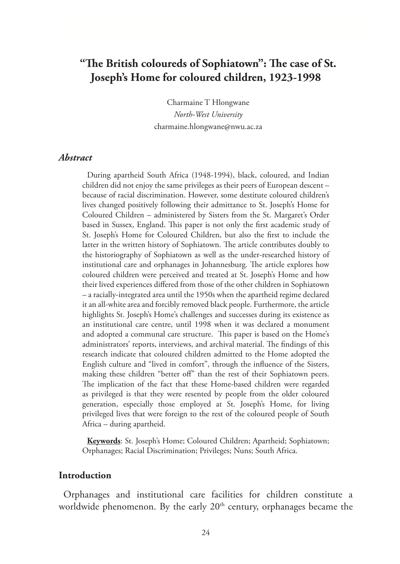# **"The British coloureds of Sophiatown": The case of St. Joseph's Home for coloured children, 1923-1998**

Charmaine T Hlongwane *North-West University* charmaine.hlongwane@nwu.ac.za

#### *Abstract*

During apartheid South Africa (1948-1994), black, coloured, and Indian children did not enjoy the same privileges as their peers of European descent – because of racial discrimination. However, some destitute coloured children's lives changed positively following their admittance to St. Joseph's Home for Coloured Children – administered by Sisters from the St. Margaret's Order based in Sussex, England. This paper is not only the first academic study of St. Joseph's Home for Coloured Children, but also the first to include the latter in the written history of Sophiatown. The article contributes doubly to the historiography of Sophiatown as well as the under-researched history of institutional care and orphanages in Johannesburg. The article explores how coloured children were perceived and treated at St. Joseph's Home and how their lived experiences differed from those of the other children in Sophiatown – a racially-integrated area until the 1950s when the apartheid regime declared it an all-white area and forcibly removed black people. Furthermore, the article highlights St. Joseph's Home's challenges and successes during its existence as an institutional care centre, until 1998 when it was declared a monument and adopted a communal care structure. This paper is based on the Home's administrators' reports, interviews, and archival material. The findings of this research indicate that coloured children admitted to the Home adopted the English culture and "lived in comfort", through the influence of the Sisters, making these children "better off" than the rest of their Sophiatown peers. The implication of the fact that these Home-based children were regarded as privileged is that they were resented by people from the older coloured generation, especially those employed at St. Joseph's Home, for living privileged lives that were foreign to the rest of the coloured people of South Africa – during apartheid.

**Keywords**: St. Joseph's Home; Coloured Children; Apartheid; Sophiatown; Orphanages; Racial Discrimination; Privileges; Nuns; South Africa.

#### **Introduction**

Orphanages and institutional care facilities for children constitute a worldwide phenomenon. By the early  $20<sup>th</sup>$  century, orphanages became the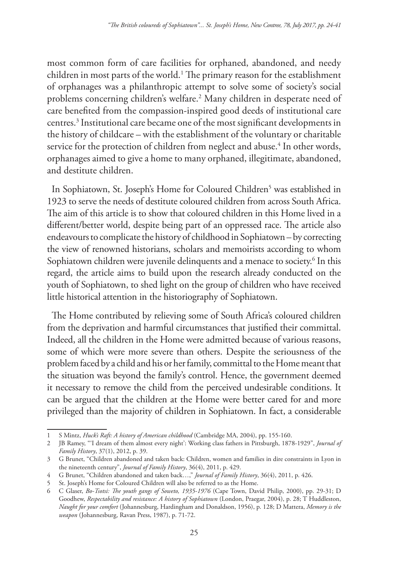most common form of care facilities for orphaned, abandoned, and needy children in most parts of the world.1 The primary reason for the establishment of orphanages was a philanthropic attempt to solve some of society's social problems concerning children's welfare.2 Many children in desperate need of care benefited from the compassion-inspired good deeds of institutional care centres.3 Institutional care became one of the most significant developments in the history of childcare – with the establishment of the voluntary or charitable service for the protection of children from neglect and abuse.<sup>4</sup> In other words, orphanages aimed to give a home to many orphaned, illegitimate, abandoned, and destitute children.

In Sophiatown, St. Joseph's Home for Coloured Children<sup>5</sup> was established in 1923 to serve the needs of destitute coloured children from across South Africa. The aim of this article is to show that coloured children in this Home lived in a different/better world, despite being part of an oppressed race. The article also endeavours to complicate the history of childhood in Sophiatown – by correcting the view of renowned historians, scholars and memoirists according to whom Sophiatown children were juvenile delinquents and a menace to society.<sup>6</sup> In this regard, the article aims to build upon the research already conducted on the youth of Sophiatown, to shed light on the group of children who have received little historical attention in the historiography of Sophiatown.

The Home contributed by relieving some of South Africa's coloured children from the deprivation and harmful circumstances that justified their committal. Indeed, all the children in the Home were admitted because of various reasons, some of which were more severe than others. Despite the seriousness of the problem faced by a child and his or her family, committal to the Home meant that the situation was beyond the family's control. Hence, the government deemed it necessary to remove the child from the perceived undesirable conditions. It can be argued that the children at the Home were better cared for and more privileged than the majority of children in Sophiatown. In fact, a considerable

<sup>1</sup> S Mintz, *Huck's Raft: A history of American childhood* (Cambridge MA, 2004), pp. 155-160.

<sup>2</sup> JB Ramey, "'I dream of them almost every night': Working class fathers in Pittsburgh, 1878-1929", *Journal of Family History*, 37(1), 2012, p. 39.

<sup>3</sup> G Brunet, "Children abandoned and taken back: Children, women and families in dire constraints in Lyon in the nineteenth century", *Journal of Family History*, 36(4), 2011, p. 429.

<sup>4</sup> G Brunet, "Children abandoned and taken back…," *Journal of Family History*, 36(4), 2011, p. 426.

<sup>5</sup> St. Joseph's Home for Coloured Children will also be referred to as the Home.

<sup>6</sup> C Glaser, *Bo-Tsotsi: The youth gangs of Soweto, 1935-1976* (Cape Town, David Philip, 2000), pp. 29-31; D Goodhew, *Respectability and resistance: A history of Sophiatown* (London, Praegar, 2004), p. 28; T Huddleston, *Naught for your comfort* (Johannesburg, Hardingham and Donaldson, 1956), p. 128; D Mattera, *Memory is the weapon* (Johannesburg, Ravan Press, 1987), p. 71-72.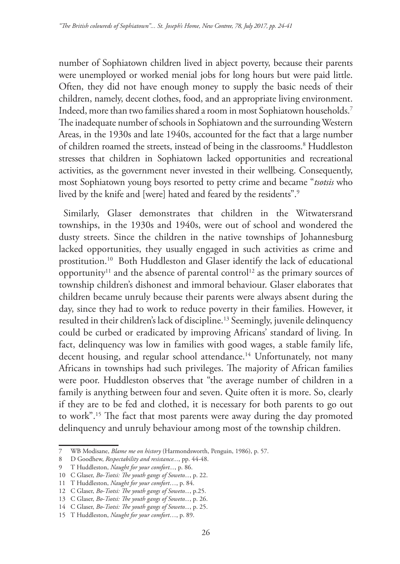number of Sophiatown children lived in abject poverty, because their parents were unemployed or worked menial jobs for long hours but were paid little. Often, they did not have enough money to supply the basic needs of their children, namely, decent clothes, food, and an appropriate living environment. Indeed, more than two families shared a room in most Sophiatown households.7 The inadequate number of schools in Sophiatown and the surrounding Western Areas, in the 1930s and late 1940s, accounted for the fact that a large number of children roamed the streets, instead of being in the classrooms.8 Huddleston stresses that children in Sophiatown lacked opportunities and recreational activities, as the government never invested in their wellbeing. Consequently, most Sophiatown young boys resorted to petty crime and became "*tsotsis* who lived by the knife and [were] hated and feared by the residents".9

Similarly, Glaser demonstrates that children in the Witwatersrand townships, in the 1930s and 1940s, were out of school and wondered the dusty streets. Since the children in the native townships of Johannesburg lacked opportunities, they usually engaged in such activities as crime and prostitution.10 Both Huddleston and Glaser identify the lack of educational opportunity<sup>11</sup> and the absence of parental control<sup>12</sup> as the primary sources of township children's dishonest and immoral behaviour. Glaser elaborates that children became unruly because their parents were always absent during the day, since they had to work to reduce poverty in their families. However, it resulted in their children's lack of discipline.13 Seemingly, juvenile delinquency could be curbed or eradicated by improving Africans' standard of living. In fact, delinquency was low in families with good wages, a stable family life, decent housing, and regular school attendance.<sup>14</sup> Unfortunately, not many Africans in townships had such privileges. The majority of African families were poor. Huddleston observes that "the average number of children in a family is anything between four and seven. Quite often it is more. So, clearly if they are to be fed and clothed, it is necessary for both parents to go out to work".15 The fact that most parents were away during the day promoted delinquency and unruly behaviour among most of the township children.

<sup>7</sup> WB Modisane, *Blame me on history* (Harmondsworth, Penguin, 1986), p. 57.

<sup>8</sup> D Goodhew, *Respectability and resistance...*, pp. 44-48.

<sup>9</sup> T Huddleston, *Naught for your comfort...*, p. 86.

<sup>10</sup> C Glaser, *Bo-Tsotsi: The youth gangs of Soweto...*, p. 22.

<sup>11</sup> T Huddleston, *Naught for your comfort*…, p. 84.

<sup>12</sup> C Glaser, *Bo-Tsotsi: The youth gangs of Soweto...*, p.25.

<sup>13</sup> C Glaser, *Bo-Tsotsi: The youth gangs of Soweto...*, p. 26.

<sup>14</sup> C Glaser, *Bo-Tsotsi: The youth gangs of Soweto...*, p. 25.

<sup>15</sup> T Huddleston, *Naught for your comfort*…, p. 89.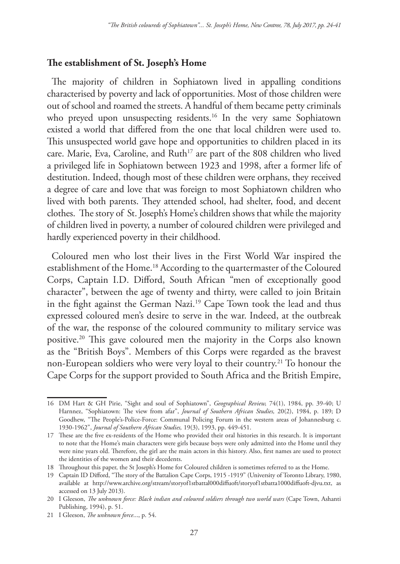#### **The establishment of St. Joseph's Home**

The majority of children in Sophiatown lived in appalling conditions characterised by poverty and lack of opportunities. Most of those children were out of school and roamed the streets. A handful of them became petty criminals who preyed upon unsuspecting residents.<sup>16</sup> In the very same Sophiatown existed a world that differed from the one that local children were used to. This unsuspected world gave hope and opportunities to children placed in its care. Marie, Eva, Caroline, and Ruth<sup>17</sup> are part of the 808 children who lived a privileged life in Sophiatown between 1923 and 1998, after a former life of destitution. Indeed, though most of these children were orphans, they received a degree of care and love that was foreign to most Sophiatown children who lived with both parents. They attended school, had shelter, food, and decent clothes. The story of St. Joseph's Home's children shows that while the majority of children lived in poverty, a number of coloured children were privileged and hardly experienced poverty in their childhood.

Coloured men who lost their lives in the First World War inspired the establishment of the Home.18 According to the quartermaster of the Coloured Corps, Captain I.D. Difford, South African "men of exceptionally good character", between the age of twenty and thirty, were called to join Britain in the fight against the German Nazi.<sup>19</sup> Cape Town took the lead and thus expressed coloured men's desire to serve in the war. Indeed, at the outbreak of the war, the response of the coloured community to military service was positive.20 This gave coloured men the majority in the Corps also known as the "British Boys". Members of this Corps were regarded as the bravest non-European soldiers who were very loyal to their country.<sup>21</sup> To honour the Cape Corps for the support provided to South Africa and the British Empire,

<sup>16</sup> DM Hart & GH Pirie, "Sight and soul of Sophiatown", *Geographical Review,* 74(1), 1984, pp. 39-40; U Harnnez, "Sophiatown: The view from afar", *Journal of Southern African Studies,* 20(2), 1984, p. 189; D Goodhew, "The People's-Police-Force: Communal Policing Forum in the western areas of Johannesburg c. 1930-1962", *Journal of Southern African Studies,* 19(3), 1993, pp. 449-451.

<sup>17</sup> These are the five ex-residents of the Home who provided their oral histories in this research. It is important to note that the Home's main characters were girls because boys were only admitted into the Home until they were nine years old. Therefore, the girl are the main actors in this history. Also, first names are used to protect the identities of the women and their decedents.

<sup>18</sup> Throughout this paper, the St Joseph's Home for Coloured children is sometimes referred to as the Home.

<sup>19</sup> Captain ID Difford, "The story of the Battalion Cape Corps, 1915 -1919" (University of Toronto Library, 1980, available at http://www.archive.org/stream/storyof1stbattal000diffuoft/storyof1stbatta1000diffuoft-djvu.txt, as accessed on 13 July 2013).

<sup>20</sup> I Gleeson, *The unknown force: Black indian and coloured soldiers through two world wars* (Cape Town, Ashanti Publishing, 1994), p. 51.

<sup>21</sup> I Gleeson, *The unknown force*..., p. 54.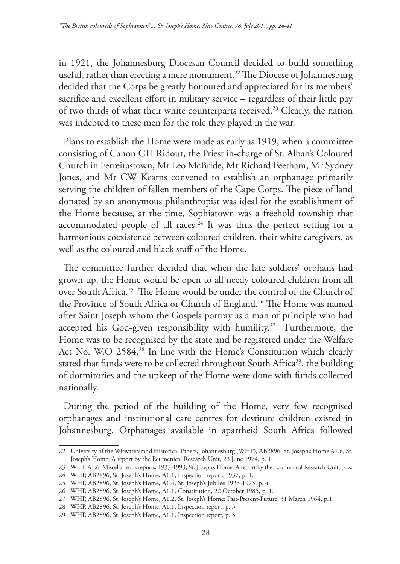in 1921, the Johannesburg Diocesan Council decided to build something useful, rather than erecting a mere monument.<sup>22</sup> The Diocese of Johannesburg decided that the Corps be greatly honoured and appreciated for its members' sacrifice and excellent effort in military service – regardless of their little pay of two thirds of what their white counterparts received.<sup>23</sup> Clearly, the nation was indebted to these men for the role they played in the war.

Plans to establish the Home were made as early as 1919, when a committee consisting of Canon GH Ridout, the Priest in-charge of St. Alban's Coloured Church in Ferreirastown, Mr Leo McBride, Mr Richard Feetham, Mr Sydney Jones, and Mr CW Kearns convened to establish an orphanage primarily serving the children of fallen members of the Cape Corps. The piece of land donated by an anonymous philanthropist was ideal for the establishment of the Home because, at the time, Sophiatown was a freehold township that accommodated people of all races.<sup>24</sup> It was thus the perfect setting for a harmonious coexistence between coloured children, their white caregivers, as well as the coloured and black staff of the Home.

The committee further decided that when the late soldiers' orphans had grown up, the Home would be open to all needy coloured children from all over South Africa.25 The Home would be under the control of the Church of the Province of South Africa or Church of England.<sup>26</sup> The Home was named after Saint Joseph whom the Gospels portray as a man of principle who had accepted his God-given responsibility with humility.<sup>27</sup> Furthermore, the Home was to be recognised by the state and be registered under the Welfare Act No. W.O 2584.28 In line with the Home's Constitution which clearly stated that funds were to be collected throughout South Africa<sup>29</sup>, the building of dormitories and the upkeep of the Home were done with funds collected nationally.

During the period of the building of the Home, very few recognised orphanages and institutional care centres for destitute children existed in Johannesburg. Orphanages available in apartheid South Africa followed

<sup>22</sup> University of the Witwatersrand Historical Papers, Johannesburg (WHP), AB2896, St. Joseph's Home A1.6, St. Joseph's Home: A report by the Ecumenical Research Unit, 23 June 1974, p. 1.

<sup>23</sup> WHP, A1.6, Miscellaneous reports, 1937-1993, St. Joseph's Home: A report by the Ecumenical Research Unit, p. 2.

<sup>24</sup> WHP, AB2896, St. Joseph's Home, A1.1, Inspection report, 1937, p. 1.

<sup>25</sup> WHP, AB2896, St. Joseph's Home, A1.4, St. Joseph's Jubilee 1923-1973, p. 4.

<sup>26</sup> WHP, AB2896, St. Joseph's Home, A1.1, Constitution, 22 October 1985, p. 1.

<sup>27</sup> WHP, AB2896, St. Joseph's Home, A1.2, St. Joseph's Home: Past-Present-Future, 31 March 1964, p.1.

<sup>28</sup> WHP, AB2896, St. Joseph's Home, A1.1, Inspection report, p. 3.

<sup>29</sup> WHP, AB2896, St. Joseph's Home, A1.1, Inspection report, p. 3.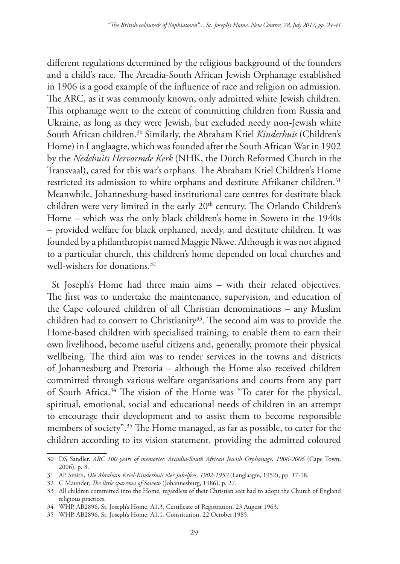different regulations determined by the religious background of the founders and a child's race. The Arcadia-South African Jewish Orphanage established in 1906 is a good example of the influence of race and religion on admission. The ARC, as it was commonly known, only admitted white Jewish children. This orphanage went to the extent of committing children from Russia and Ukraine, as long as they were Jewish, but excluded needy non-Jewish white South African children.30 Similarly, the Abraham Kriel *Kinderhuis* (Children's Home) in Langlaagte, which was founded after the South African War in 1902 by the *Nedehuits Hervormde Kerk* (NHK, the Dutch Reformed Church in the Transvaal), cared for this war's orphans. The Abraham Kriel Children's Home restricted its admission to white orphans and destitute Afrikaner children.<sup>31</sup> Meanwhile, Johannesburg-based institutional care centres for destitute black children were very limited in the early 20<sup>th</sup> century. The Orlando Children's Home – which was the only black children's home in Soweto in the 1940s – provided welfare for black orphaned, needy, and destitute children. It was founded by a philanthropist named Maggie Nkwe. Although it was not aligned to a particular church, this children's home depended on local churches and well-wishers for donations.32

St Joseph's Home had three main aims – with their related objectives. The first was to undertake the maintenance, supervision, and education of the Cape coloured children of all Christian denominations – any Muslim children had to convert to Christianity<sup>33</sup>. The second aim was to provide the Home-based children with specialised training, to enable them to earn their own livelihood, become useful citizens and, generally, promote their physical wellbeing. The third aim was to render services in the towns and districts of Johannesburg and Pretoria – although the Home also received children committed through various welfare organisations and courts from any part of South Africa.<sup>34</sup> The vision of the Home was "To cater for the physical, spiritual, emotional, social and educational needs of children in an attempt to encourage their development and to assist them to become responsible members of society".35 The Home managed, as far as possible, to cater for the children according to its vision statement, providing the admitted coloured

<sup>30</sup> DS Sandler, *ARC 100 years of memories: Arcadia-South African Jewish Orphanage, 1906-2006* (Cape Town, 2006), p. 3.

<sup>31</sup> AP Smith, *Die Abraham Kriel-Kinderhuis vier Jubelfees, 1902-1952* (Langlaagte, 1952), pp. 17-18.

<sup>32</sup> C Maunder, *The little sparrows of Soweto* (Johannesburg, 1986), p. 27.

<sup>33</sup> All children committed into the Home, regardless of their Christian sect had to adopt the Church of England religious practices.

<sup>34</sup> WHP, AB2896, St. Joseph's Home, A1.3, Certificate of Registration, 23 August 1963.

<sup>35</sup> WHP, AB2896, St. Joseph's Home, A1.1, Constitution, 22 October 1985.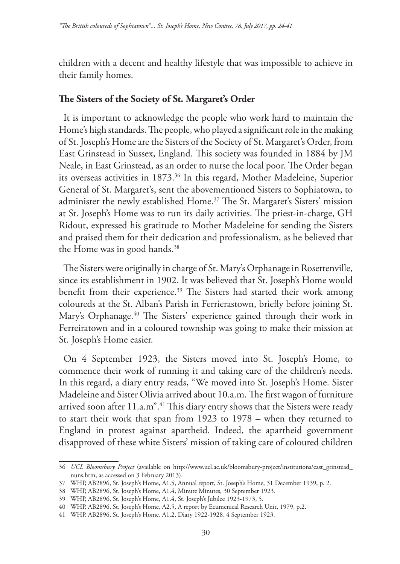children with a decent and healthy lifestyle that was impossible to achieve in their family homes.

### **The Sisters of the Society of St. Margaret's Order**

It is important to acknowledge the people who work hard to maintain the Home's high standards. The people, who played a significant role in the making of St. Joseph's Home are the Sisters of the Society of St. Margaret's Order, from East Grinstead in Sussex, England. This society was founded in 1884 by JM Neale, in East Grinstead, as an order to nurse the local poor. The Order began its overseas activities in 1873.36 In this regard, Mother Madeleine, Superior General of St. Margaret's, sent the abovementioned Sisters to Sophiatown, to administer the newly established Home.<sup>37</sup> The St. Margaret's Sisters' mission at St. Joseph's Home was to run its daily activities. The priest-in-charge, GH Ridout, expressed his gratitude to Mother Madeleine for sending the Sisters and praised them for their dedication and professionalism, as he believed that the Home was in good hands.<sup>38</sup>

The Sisters were originally in charge of St. Mary's Orphanage in Rosettenville, since its establishment in 1902. It was believed that St. Joseph's Home would benefit from their experience.<sup>39</sup> The Sisters had started their work among coloureds at the St. Alban's Parish in Ferrierastown, briefly before joining St. Mary's Orphanage.<sup>40</sup> The Sisters' experience gained through their work in Ferreiratown and in a coloured township was going to make their mission at St. Joseph's Home easier.

On 4 September 1923, the Sisters moved into St. Joseph's Home, to commence their work of running it and taking care of the children's needs. In this regard, a diary entry reads, "We moved into St. Joseph's Home. Sister Madeleine and Sister Olivia arrived about 10.a.m. The first wagon of furniture arrived soon after 11.a.m".<sup>41</sup> This diary entry shows that the Sisters were ready to start their work that span from 1923 to 1978 – when they returned to England in protest against apartheid. Indeed, the apartheid government disapproved of these white Sisters' mission of taking care of coloured children

<sup>36</sup> *UCL Bloomsbury Project* (available on http://www.ucl.ac.uk/bloomsbury-project/institutions/east\_grinstead\_ nuns.htm, as accessed on 3 February 2013).

<sup>37</sup> WHP, AB2896, St. Joseph's Home, A1.5, Annual report, St. Joseph's Home, 31 December 1939, p. 2.

<sup>38</sup> WHP, AB2896, St. Joseph's Home, A1.4, Minute Minutes, 30 September 1923.

<sup>39</sup> WHP, AB2896, St. Joseph's Home, A1.4, St. Joseph's Jubilee 1923-1973, 5.

<sup>40</sup> WHP, AB2896, St. Joseph's Home, A2.5, A report by Ecumenical Research Unit, 1979, p.2.

<sup>41</sup> WHP, AB2896, St. Joseph's Home, A1.2, Diary 1922-1928, 4 September 1923.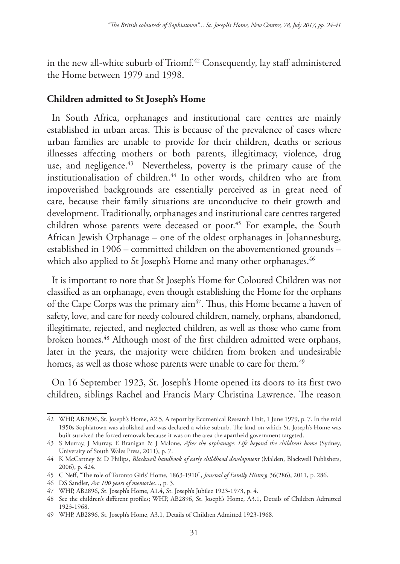in the new all-white suburb of Triomf.<sup>42</sup> Consequently, lay staff administered the Home between 1979 and 1998.

# **Children admitted to St Joseph's Home**

In South Africa, orphanages and institutional care centres are mainly established in urban areas. This is because of the prevalence of cases where urban families are unable to provide for their children, deaths or serious illnesses affecting mothers or both parents, illegitimacy, violence, drug use, and negligence.<sup>43</sup> Nevertheless, poverty is the primary cause of the institutionalisation of children.44 In other words, children who are from impoverished backgrounds are essentially perceived as in great need of care, because their family situations are unconducive to their growth and development. Traditionally, orphanages and institutional care centres targeted children whose parents were deceased or poor.<sup>45</sup> For example, the South African Jewish Orphanage – one of the oldest orphanages in Johannesburg, established in 1906 – committed children on the abovementioned grounds – which also applied to St Joseph's Home and many other orphanages.<sup>46</sup>

It is important to note that St Joseph's Home for Coloured Children was not classified as an orphanage, even though establishing the Home for the orphans of the Cape Corps was the primary aim<sup>47</sup>. Thus, this Home became a haven of safety, love, and care for needy coloured children, namely, orphans, abandoned, illegitimate, rejected, and neglected children, as well as those who came from broken homes.48 Although most of the first children admitted were orphans, later in the years, the majority were children from broken and undesirable homes, as well as those whose parents were unable to care for them.<sup>49</sup>

On 16 September 1923, St. Joseph's Home opened its doors to its first two children, siblings Rachel and Francis Mary Christina Lawrence. The reason

<sup>42</sup> WHP, AB2896, St. Joseph's Home, A2.5, A report by Ecumenical Research Unit, 1 June 1979, p. 7. In the mid 1950s Sophiatown was abolished and was declared a white suburb. The land on which St. Joseph's Home was built survived the forced removals because it was on the area the apartheid government targeted.

<sup>43</sup> S Murray, J Murray, E Branigan & J Malone, *After the orphanage: Life beyond the children's home* (Sydney, University of South Wales Press, 2011), p. 7.

<sup>44</sup> K McCartney & D Philips, *Blackwell handbook of early childhood development* (Malden, Blackwell Publishers, 2006), p. 424.

<sup>45</sup> C Neff, "The role of Toronto Girls' Home, 1863-1910", *Journal of Family History,* 36(286), 2011, p. 286.

<sup>46</sup> DS Sandler, *Arc 100 years of memories...*, p. 3.

<sup>47</sup> WHP, AB2896, St. Joseph's Home, A1.4, St. Joseph's Jubilee 1923-1973, p. 4.

<sup>48</sup> See the children's different profiles; WHP, AB2896, St. Joseph's Home, A3.1, Details of Children Admitted 1923-1968.

<sup>49</sup> WHP, AB2896, St. Joseph's Home, A3.1, Details of Children Admitted 1923-1968.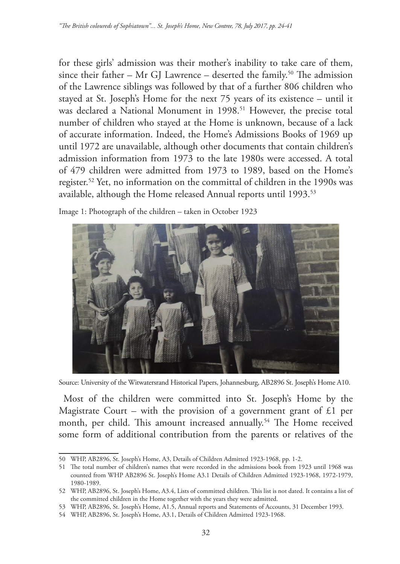for these girls' admission was their mother's inability to take care of them, since their father – Mr GJ Lawrence – deserted the family.<sup>50</sup> The admission of the Lawrence siblings was followed by that of a further 806 children who stayed at St. Joseph's Home for the next 75 years of its existence – until it was declared a National Monument in 1998.<sup>51</sup> However, the precise total number of children who stayed at the Home is unknown, because of a lack of accurate information. Indeed, the Home's Admissions Books of 1969 up until 1972 are unavailable, although other documents that contain children's admission information from 1973 to the late 1980s were accessed. A total of 479 children were admitted from 1973 to 1989, based on the Home's register.52 Yet, no information on the committal of children in the 1990s was available, although the Home released Annual reports until 1993.<sup>53</sup>

Image 1: Photograph of the children – taken in October 1923



Source: University of the Witwatersrand Historical Papers, Johannesburg, AB2896 St. Joseph's Home A10.

Most of the children were committed into St. Joseph's Home by the Magistrate Court – with the provision of a government grant of  $£1$  per month, per child. This amount increased annually.<sup>54</sup> The Home received some form of additional contribution from the parents or relatives of the

<sup>50</sup> WHP, AB2896, St. Joseph's Home, A3, Details of Children Admitted 1923-1968, pp. 1-2.

<sup>51</sup> The total number of children's names that were recorded in the admissions book from 1923 until 1968 was counted from WHP AB2896 St. Joseph's Home A3.1 Details of Children Admitted 1923-1968, 1972-1979, 1980-1989.

<sup>52</sup> WHP, AB2896, St. Joseph's Home, A3.4, Lists of committed children. This list is not dated. It contains a list of the committed children in the Home together with the years they were admitted.

<sup>53</sup> WHP, AB2896, St. Joseph's Home, A1.5, Annual reports and Statements of Accounts, 31 December 1993.

<sup>54</sup> WHP, AB2896, St. Joseph's Home, A3.1, Details of Children Admitted 1923-1968.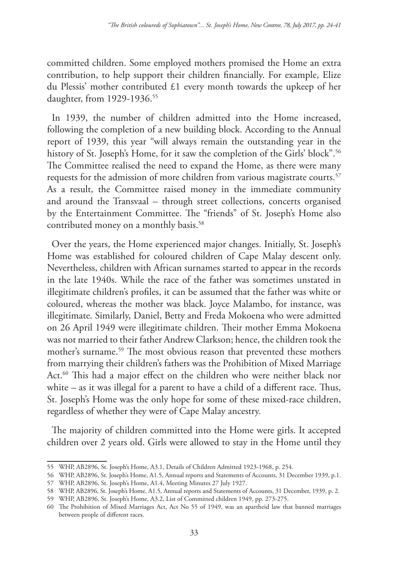committed children. Some employed mothers promised the Home an extra contribution, to help support their children financially. For example, Elize du Plessis' mother contributed £1 every month towards the upkeep of her daughter, from 1929-1936.<sup>55</sup>

In 1939, the number of children admitted into the Home increased, following the completion of a new building block. According to the Annual report of 1939, this year "will always remain the outstanding year in the history of St. Joseph's Home, for it saw the completion of the Girls' block".<sup>56</sup> The Committee realised the need to expand the Home, as there were many requests for the admission of more children from various magistrate courts.<sup>57</sup> As a result, the Committee raised money in the immediate community and around the Transvaal – through street collections, concerts organised by the Entertainment Committee. The "friends" of St. Joseph's Home also contributed money on a monthly basis.<sup>58</sup>

Over the years, the Home experienced major changes. Initially, St. Joseph's Home was established for coloured children of Cape Malay descent only. Nevertheless, children with African surnames started to appear in the records in the late 1940s. While the race of the father was sometimes unstated in illegitimate children's profiles, it can be assumed that the father was white or coloured, whereas the mother was black. Joyce Malambo, for instance, was illegitimate. Similarly, Daniel, Betty and Freda Mokoena who were admitted on 26 April 1949 were illegitimate children. Their mother Emma Mokoena was not married to their father Andrew Clarkson; hence, the children took the mother's surname.59 The most obvious reason that prevented these mothers from marrying their children's fathers was the Prohibition of Mixed Marriage Act.<sup>60</sup> This had a major effect on the children who were neither black nor white – as it was illegal for a parent to have a child of a different race. Thus, St. Joseph's Home was the only hope for some of these mixed-race children, regardless of whether they were of Cape Malay ancestry.

The majority of children committed into the Home were girls. It accepted children over 2 years old. Girls were allowed to stay in the Home until they

<sup>55</sup> WHP, AB2896, St. Joseph's Home, A3.1, Details of Children Admitted 1923-1968, p. 254.

<sup>56</sup> WHP, AB2896, St. Joseph's Home, A1.5, Annual reports and Statements of Accounts, 31 December 1939, p.1.

<sup>57</sup> WHP, AB2896, St. Joseph's Home, A1.4, Meeting Minutes 27 July 1927.

<sup>58</sup> WHP, AB2896, St. Joseph's Home, A1.5, Annual reports and Statements of Accounts, 31 December, 1939, p. 2.

<sup>59</sup> WHP, AB2896, St. Joseph's Home, A3.2, List of Committed children 1949, pp. 273-275.

<sup>60</sup> The Prohibition of Mixed Marriages Act, Act No 55 of 1949, was an apartheid law that banned marriages between people of different races.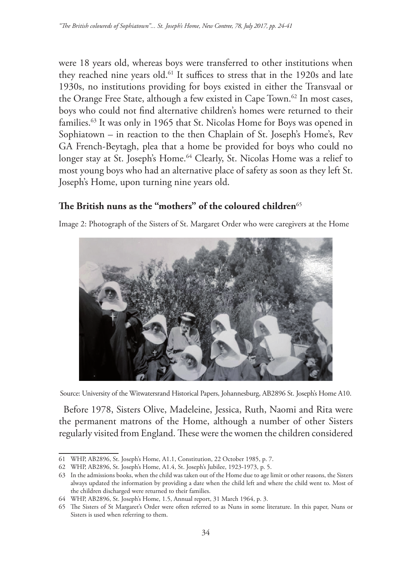were 18 years old, whereas boys were transferred to other institutions when they reached nine years old.<sup>61</sup> It suffices to stress that in the 1920s and late 1930s, no institutions providing for boys existed in either the Transvaal or the Orange Free State, although a few existed in Cape Town.<sup>62</sup> In most cases, boys who could not find alternative children's homes were returned to their families.63 It was only in 1965 that St. Nicolas Home for Boys was opened in Sophiatown – in reaction to the then Chaplain of St. Joseph's Home's, Rev GA French-Beytagh, plea that a home be provided for boys who could no longer stay at St. Joseph's Home.<sup>64</sup> Clearly, St. Nicolas Home was a relief to most young boys who had an alternative place of safety as soon as they left St. Joseph's Home, upon turning nine years old.

# **The British nuns as the "mothers" of the coloured children**<sup>65</sup>

Image 2: Photograph of the Sisters of St. Margaret Order who were caregivers at the Home



Source: University of the Witwatersrand Historical Papers, Johannesburg, AB2896 St. Joseph's Home A10.

Before 1978, Sisters Olive, Madeleine, Jessica, Ruth, Naomi and Rita were the permanent matrons of the Home, although a number of other Sisters regularly visited from England. These were the women the children considered

<sup>61</sup> WHP, AB2896, St. Joseph's Home, A1.1, Constitution, 22 October 1985, p. 7.

<sup>62</sup> WHP, AB2896, St. Joseph's Home, A1.4, St. Joseph's Jubilee, 1923-1973, p. 5.

<sup>63</sup> In the admissions books, when the child was taken out of the Home due to age limit or other reasons, the Sisters always updated the information by providing a date when the child left and where the child went to. Most of the children discharged were returned to their families.

<sup>64</sup> WHP, AB2896, St. Joseph's Home, 1.5, Annual report, 31 March 1964, p. 3.

<sup>65</sup> The Sisters of St Margaret's Order were often referred to as Nuns in some literature. In this paper, Nuns or Sisters is used when referring to them.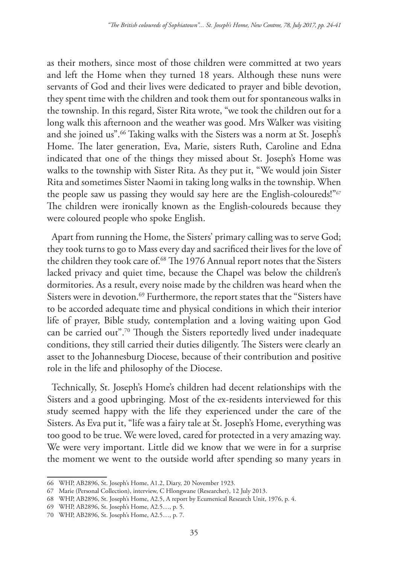as their mothers, since most of those children were committed at two years and left the Home when they turned 18 years. Although these nuns were servants of God and their lives were dedicated to prayer and bible devotion, they spent time with the children and took them out for spontaneous walks in the township. In this regard, Sister Rita wrote, "we took the children out for a long walk this afternoon and the weather was good. Mrs Walker was visiting and she joined us".<sup>66</sup> Taking walks with the Sisters was a norm at St. Joseph's Home. The later generation, Eva, Marie, sisters Ruth, Caroline and Edna indicated that one of the things they missed about St. Joseph's Home was walks to the township with Sister Rita. As they put it, "We would join Sister Rita and sometimes Sister Naomi in taking long walks in the township. When the people saw us passing they would say here are the English-coloureds!"67 The children were ironically known as the English-coloureds because they were coloured people who spoke English.

Apart from running the Home, the Sisters' primary calling was to serve God; they took turns to go to Mass every day and sacrificed their lives for the love of the children they took care of.<sup>68</sup> The 1976 Annual report notes that the Sisters lacked privacy and quiet time, because the Chapel was below the children's dormitories. As a result, every noise made by the children was heard when the Sisters were in devotion.<sup>69</sup> Furthermore, the report states that the "Sisters have to be accorded adequate time and physical conditions in which their interior life of prayer, Bible study, contemplation and a loving waiting upon God can be carried out".70 Though the Sisters reportedly lived under inadequate conditions, they still carried their duties diligently. The Sisters were clearly an asset to the Johannesburg Diocese, because of their contribution and positive role in the life and philosophy of the Diocese.

Technically, St. Joseph's Home's children had decent relationships with the Sisters and a good upbringing. Most of the ex-residents interviewed for this study seemed happy with the life they experienced under the care of the Sisters. As Eva put it, "life was a fairy tale at St. Joseph's Home, everything was too good to be true. We were loved, cared for protected in a very amazing way. We were very important. Little did we know that we were in for a surprise the moment we went to the outside world after spending so many years in

<sup>66</sup> WHP, AB2896, St. Joseph's Home, A1.2, Diary, 20 November 1923.

<sup>67</sup> Marie (Personal Collection), interview, C Hlongwane (Researcher), 12 July 2013.

<sup>68</sup> WHP, AB2896, St. Joseph's Home, A2.5, A report by Ecumenical Research Unit, 1976, p. 4.

<sup>69</sup> WHP, AB2896, St. Joseph's Home, A2.5…, p. 5.

<sup>70</sup> WHP, AB2896, St. Joseph's Home, A2.5…, p. 7.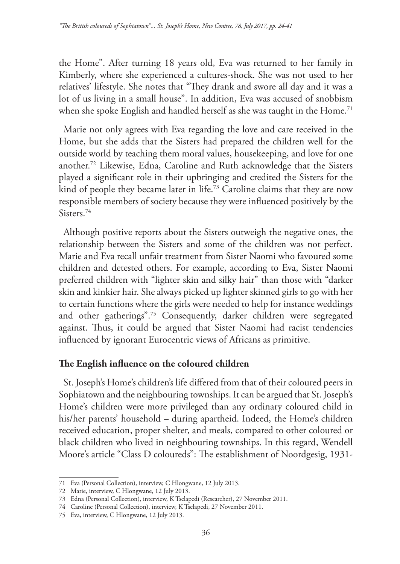the Home". After turning 18 years old, Eva was returned to her family in Kimberly, where she experienced a cultures-shock. She was not used to her relatives' lifestyle. She notes that "They drank and swore all day and it was a lot of us living in a small house". In addition, Eva was accused of snobbism when she spoke English and handled herself as she was taught in the Home.<sup>71</sup>

Marie not only agrees with Eva regarding the love and care received in the Home, but she adds that the Sisters had prepared the children well for the outside world by teaching them moral values, housekeeping, and love for one another.72 Likewise, Edna, Caroline and Ruth acknowledge that the Sisters played a significant role in their upbringing and credited the Sisters for the kind of people they became later in life.<sup>73</sup> Caroline claims that they are now responsible members of society because they were influenced positively by the Sisters.74

Although positive reports about the Sisters outweigh the negative ones, the relationship between the Sisters and some of the children was not perfect. Marie and Eva recall unfair treatment from Sister Naomi who favoured some children and detested others. For example, according to Eva, Sister Naomi preferred children with "lighter skin and silky hair" than those with "darker skin and kinkier hair. She always picked up lighter skinned girls to go with her to certain functions where the girls were needed to help for instance weddings and other gatherings".75 Consequently, darker children were segregated against. Thus, it could be argued that Sister Naomi had racist tendencies influenced by ignorant Eurocentric views of Africans as primitive.

### **The English influence on the coloured children**

St. Joseph's Home's children's life differed from that of their coloured peers in Sophiatown and the neighbouring townships. It can be argued that St. Joseph's Home's children were more privileged than any ordinary coloured child in his/her parents' household – during apartheid. Indeed, the Home's children received education, proper shelter, and meals, compared to other coloured or black children who lived in neighbouring townships. In this regard, Wendell Moore's article "Class D coloureds": The establishment of Noordgesig, 1931-

<sup>71</sup> Eva (Personal Collection), interview, C Hlongwane, 12 July 2013.

<sup>72</sup> Marie, interview, C Hlongwane, 12 July 2013.

<sup>73</sup> Edna (Personal Collection), interview, K Tselapedi (Researcher), 27 November 2011.

<sup>74</sup> Caroline (Personal Collection), interview, K Tselapedi, 27 November 2011.

<sup>75</sup> Eva, interview, C Hlongwane, 12 July 2013.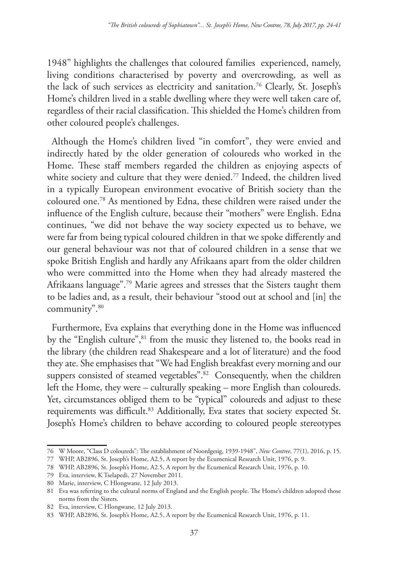1948" highlights the challenges that coloured families experienced, namely, living conditions characterised by poverty and overcrowding, as well as the lack of such services as electricity and sanitation.76 Clearly, St. Joseph's Home's children lived in a stable dwelling where they were well taken care of, regardless of their racial classification. This shielded the Home's children from other coloured people's challenges.

Although the Home's children lived "in comfort", they were envied and indirectly hated by the older generation of coloureds who worked in the Home. These staff members regarded the children as enjoying aspects of white society and culture that they were denied.<sup>77</sup> Indeed, the children lived in a typically European environment evocative of British society than the coloured one.78 As mentioned by Edna, these children were raised under the influence of the English culture, because their "mothers" were English. Edna continues, "we did not behave the way society expected us to behave, we were far from being typical coloured children in that we spoke differently and our general behaviour was not that of coloured children in a sense that we spoke British English and hardly any Afrikaans apart from the older children who were committed into the Home when they had already mastered the Afrikaans language".79 Marie agrees and stresses that the Sisters taught them to be ladies and, as a result, their behaviour "stood out at school and [in] the community".80

Furthermore, Eva explains that everything done in the Home was influenced by the "English culture",  $81$  from the music they listened to, the books read in the library (the children read Shakespeare and a lot of literature) and the food they ate. She emphasises that "We had English breakfast every morning and our suppers consisted of steamed vegetables".<sup>82</sup> Consequently, when the children left the Home, they were – culturally speaking – more English than coloureds. Yet, circumstances obliged them to be "typical" coloureds and adjust to these requirements was difficult.<sup>83</sup> Additionally, Eva states that society expected St. Joseph's Home's children to behave according to coloured people stereotypes

<sup>76</sup> W Moore, "Class D coloureds": The establishment of Noordgesig, 1939-1948", *New Contree,* 77(1), 2016, p. 15.

<sup>77</sup> WHP, AB2896, St. Joseph's Home, A2.5, A report by the Ecumenical Research Unit, 1976, p. 9.

<sup>78</sup> WHP, AB2896, St. Joseph's Home, A2.5, A report by the Ecumenical Research Unit, 1976, p. 10.

<sup>79</sup> Eva, interview, K Tselapedi, 27 November 2011.

<sup>80</sup> Marie, interview, C Hlongwane, 12 July 2013.

<sup>81</sup> Eva was referring to the cultural norms of England and the English people. The Home's children adopted those norms from the Sisters.

<sup>82</sup> Eva, interview, C Hlongwane, 12 July 2013.

<sup>83</sup> WHP, AB2896, St. Joseph's Home, A2.5, A report by the Ecumenical Research Unit, 1976, p. 11.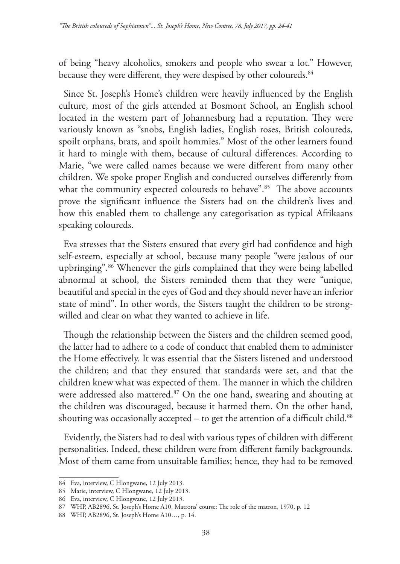of being "heavy alcoholics, smokers and people who swear a lot." However, because they were different, they were despised by other coloureds.<sup>84</sup>

Since St. Joseph's Home's children were heavily influenced by the English culture, most of the girls attended at Bosmont School, an English school located in the western part of Johannesburg had a reputation. They were variously known as "snobs, English ladies, English roses, British coloureds, spoilt orphans, brats, and spoilt hommies." Most of the other learners found it hard to mingle with them, because of cultural differences. According to Marie, "we were called names because we were different from many other children. We spoke proper English and conducted ourselves differently from what the community expected coloureds to behave".<sup>85</sup> The above accounts prove the significant influence the Sisters had on the children's lives and how this enabled them to challenge any categorisation as typical Afrikaans speaking coloureds.

Eva stresses that the Sisters ensured that every girl had confidence and high self-esteem, especially at school, because many people "were jealous of our upbringing".86 Whenever the girls complained that they were being labelled abnormal at school, the Sisters reminded them that they were "unique, beautiful and special in the eyes of God and they should never have an inferior state of mind". In other words, the Sisters taught the children to be strongwilled and clear on what they wanted to achieve in life.

Though the relationship between the Sisters and the children seemed good, the latter had to adhere to a code of conduct that enabled them to administer the Home effectively. It was essential that the Sisters listened and understood the children; and that they ensured that standards were set, and that the children knew what was expected of them. The manner in which the children were addressed also mattered.<sup>87</sup> On the one hand, swearing and shouting at the children was discouraged, because it harmed them. On the other hand, shouting was occasionally accepted  $-$  to get the attention of a difficult child.<sup>88</sup>

Evidently, the Sisters had to deal with various types of children with different personalities. Indeed, these children were from different family backgrounds. Most of them came from unsuitable families; hence, they had to be removed

<sup>84</sup> Eva, interview, C Hlongwane, 12 July 2013.

<sup>85</sup> Marie, interview, C Hlongwane, 12 July 2013.

<sup>86</sup> Eva, interview, C Hlongwane, 12 July 2013.

<sup>87</sup> WHP, AB2896, St. Joseph's Home A10, Matrons' course: The role of the matron, 1970, p. 12

<sup>88</sup> WHP, AB2896, St. Joseph's Home A10…, p. 14.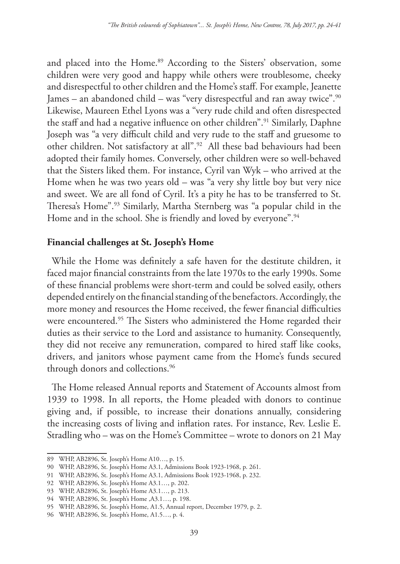and placed into the Home.<sup>89</sup> According to the Sisters' observation, some children were very good and happy while others were troublesome, cheeky and disrespectful to other children and the Home's staff. For example, Jeanette James – an abandoned child – was "very disrespectful and ran away twice".90 Likewise, Maureen Ethel Lyons was a "very rude child and often disrespected the staff and had a negative influence on other children".91 Similarly, Daphne Joseph was "a very difficult child and very rude to the staff and gruesome to other children. Not satisfactory at all".92 All these bad behaviours had been adopted their family homes. Conversely, other children were so well-behaved that the Sisters liked them. For instance, Cyril van Wyk – who arrived at the Home when he was two years old – was "a very shy little boy but very nice and sweet. We are all fond of Cyril. It's a pity he has to be transferred to St. Theresa's Home".93 Similarly, Martha Sternberg was "a popular child in the Home and in the school. She is friendly and loved by everyone".<sup>94</sup>

### **Financial challenges at St. Joseph's Home**

While the Home was definitely a safe haven for the destitute children, it faced major financial constraints from the late 1970s to the early 1990s. Some of these financial problems were short-term and could be solved easily, others depended entirely on the financial standing of the benefactors. Accordingly, the more money and resources the Home received, the fewer financial difficulties were encountered.<sup>95</sup> The Sisters who administered the Home regarded their duties as their service to the Lord and assistance to humanity. Consequently, they did not receive any remuneration, compared to hired staff like cooks, drivers, and janitors whose payment came from the Home's funds secured through donors and collections.<sup>96</sup>

The Home released Annual reports and Statement of Accounts almost from 1939 to 1998. In all reports, the Home pleaded with donors to continue giving and, if possible, to increase their donations annually, considering the increasing costs of living and inflation rates. For instance, Rev. Leslie E. Stradling who – was on the Home's Committee – wrote to donors on 21 May

<sup>89</sup> WHP, AB2896, St. Joseph's Home A10…, p. 15.

<sup>90</sup> WHP, AB2896, St. Joseph's Home A3.1, Admissions Book 1923-1968, p. 261.

<sup>91</sup> WHP, AB2896, St. Joseph's Home A3.1, Admissions Book 1923-1968, p. 232.

<sup>92</sup> WHP, AB2896, St. Joseph's Home A3.1…, p. 202.

<sup>93</sup> WHP, AB2896, St. Joseph's Home A3.1…, p. 213.

<sup>94</sup> WHP, AB2896, St. Joseph's Home ,A3.1…, p. 198.

<sup>95</sup> WHP, AB2896, St. Joseph's Home, A1.5, Annual report, December 1979, p. 2.

<sup>96</sup> WHP, AB2896, St. Joseph's Home, A1.5…, p. 4.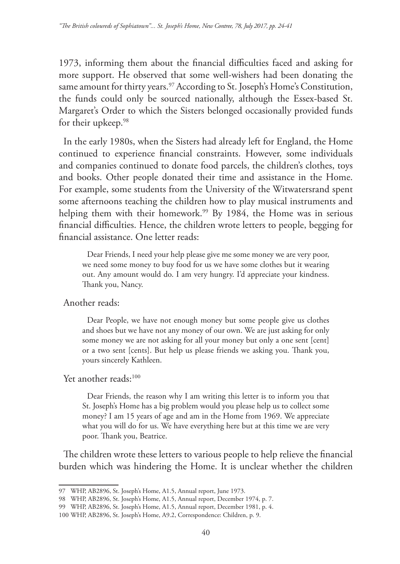1973, informing them about the financial difficulties faced and asking for more support. He observed that some well-wishers had been donating the same amount for thirty years.<sup>97</sup> According to St. Joseph's Home's Constitution, the funds could only be sourced nationally, although the Essex-based St. Margaret's Order to which the Sisters belonged occasionally provided funds for their upkeep.<sup>98</sup>

In the early 1980s, when the Sisters had already left for England, the Home continued to experience financial constraints. However, some individuals and companies continued to donate food parcels, the children's clothes, toys and books. Other people donated their time and assistance in the Home. For example, some students from the University of the Witwatersrand spent some afternoons teaching the children how to play musical instruments and helping them with their homework.<sup>99</sup> By 1984, the Home was in serious financial difficulties. Hence, the children wrote letters to people, begging for financial assistance. One letter reads:

Dear Friends, I need your help please give me some money we are very poor, we need some money to buy food for us we have some clothes but it wearing out. Any amount would do. I am very hungry. I'd appreciate your kindness. Thank you, Nancy.

Another reads:

Dear People, we have not enough money but some people give us clothes and shoes but we have not any money of our own. We are just asking for only some money we are not asking for all your money but only a one sent [cent] or a two sent [cents]. But help us please friends we asking you. Thank you, yours sincerely Kathleen.

#### Yet another reads:<sup>100</sup>

Dear Friends, the reason why I am writing this letter is to inform you that St. Joseph's Home has a big problem would you please help us to collect some money? I am 15 years of age and am in the Home from 1969. We appreciate what you will do for us. We have everything here but at this time we are very poor. Thank you, Beatrice.

The children wrote these letters to various people to help relieve the financial burden which was hindering the Home. It is unclear whether the children

<sup>97</sup> WHP, AB2896, St. Joseph's Home, A1.5, Annual report, June 1973.

<sup>98</sup> WHP, AB2896, St. Joseph's Home, A1.5, Annual report, December 1974, p. 7.

<sup>99</sup> WHP, AB2896, St. Joseph's Home, A1.5, Annual report, December 1981, p. 4.

<sup>100</sup> WHP, AB2896, St. Joseph's Home, A9.2, Correspondence: Children, p. 9.